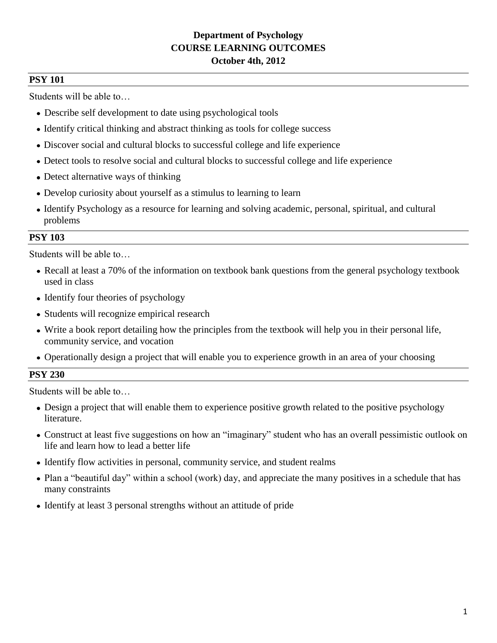# **Department of Psychology COURSE LEARNING OUTCOMES October 4th, 2012**

### **PSY 101**

Students will be able to…

- Describe self development to date using psychological tools
- Identify critical thinking and abstract thinking as tools for college success
- Discover social and cultural blocks to successful college and life experience
- Detect tools to resolve social and cultural blocks to successful college and life experience
- Detect alternative ways of thinking
- Develop curiosity about yourself as a stimulus to learning to learn
- Identify Psychology as a resource for learning and solving academic, personal, spiritual, and cultural problems

## **PSY 103**

Students will be able to…

- Recall at least a 70% of the information on textbook bank questions from the general psychology textbook used in class
- Identify four theories of psychology
- Students will recognize empirical research
- Write a book report detailing how the principles from the textbook will help you in their personal life, community service, and vocation
- Operationally design a project that will enable you to experience growth in an area of your choosing

## **PSY 230**

- Design a project that will enable them to experience positive growth related to the positive psychology literature.
- Construct at least five suggestions on how an "imaginary" student who has an overall pessimistic outlook on life and learn how to lead a better life
- Identify flow activities in personal, community service, and student realms
- Plan a "beautiful day" within a school (work) day, and appreciate the many positives in a schedule that has many constraints
- Identify at least 3 personal strengths without an attitude of pride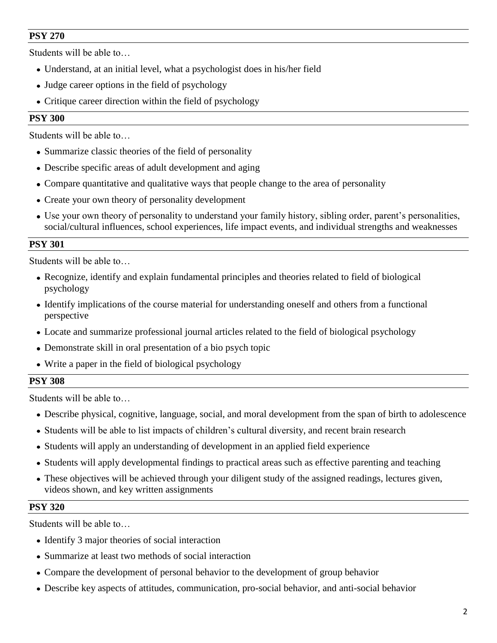Students will be able to…

- Understand, at an initial level, what a psychologist does in his/her field
- Judge career options in the field of psychology
- Critique career direction within the field of psychology

### **PSY 300**

Students will be able to…

- Summarize classic theories of the field of personality
- Describe specific areas of adult development and aging
- Compare quantitative and qualitative ways that people change to the area of personality
- Create your own theory of personality development
- Use your own theory of personality to understand your family history, sibling order, parent's personalities, social/cultural influences, school experiences, life impact events, and individual strengths and weaknesses

### **PSY 301**

Students will be able to…

- Recognize, identify and explain fundamental principles and theories related to field of biological psychology
- Identify implications of the course material for understanding oneself and others from a functional perspective
- Locate and summarize professional journal articles related to the field of biological psychology
- Demonstrate skill in oral presentation of a bio psych topic
- Write a paper in the field of biological psychology

#### **PSY 308**

Students will be able to…

- Describe physical, cognitive, language, social, and moral development from the span of birth to adolescence
- Students will be able to list impacts of children's cultural diversity, and recent brain research
- Students will apply an understanding of development in an applied field experience
- Students will apply developmental findings to practical areas such as effective parenting and teaching
- These objectives will be achieved through your diligent study of the assigned readings, lectures given, videos shown, and key written assignments

#### **PSY 320**

- Identify 3 major theories of social interaction
- Summarize at least two methods of social interaction
- Compare the development of personal behavior to the development of group behavior
- Describe key aspects of attitudes, communication, pro-social behavior, and anti-social behavior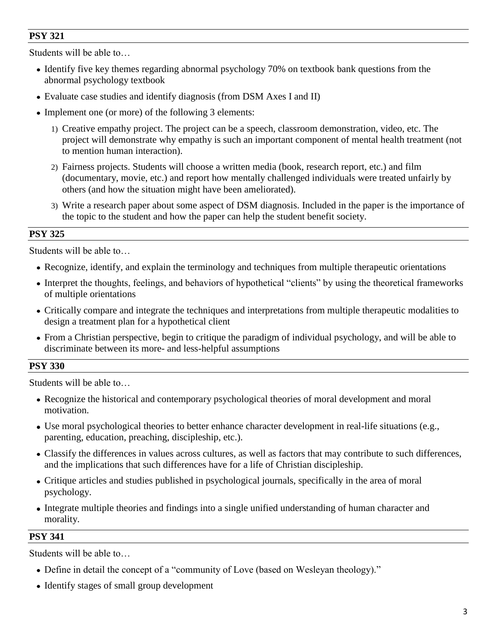Students will be able to…

- Identify five key themes regarding abnormal psychology 70% on textbook bank questions from the abnormal psychology textbook
- Evaluate case studies and identify diagnosis (from DSM Axes I and II)
- Implement one (or more) of the following 3 elements:
	- 1) Creative empathy project. The project can be a speech, classroom demonstration, video, etc. The project will demonstrate why empathy is such an important component of mental health treatment (not to mention human interaction).
	- 2) Fairness projects. Students will choose a written media (book, research report, etc.) and film (documentary, movie, etc.) and report how mentally challenged individuals were treated unfairly by others (and how the situation might have been ameliorated).
	- 3) Write a research paper about some aspect of DSM diagnosis. Included in the paper is the importance of the topic to the student and how the paper can help the student benefit society.

#### **PSY 325**

Students will be able to…

- Recognize, identify, and explain the terminology and techniques from multiple therapeutic orientations
- Interpret the thoughts, feelings, and behaviors of hypothetical "clients" by using the theoretical frameworks of multiple orientations
- Critically compare and integrate the techniques and interpretations from multiple therapeutic modalities to design a treatment plan for a hypothetical client
- From a Christian perspective, begin to critique the paradigm of individual psychology, and will be able to discriminate between its more- and less-helpful assumptions

#### **PSY 330**

Students will be able to…

- Recognize the historical and contemporary psychological theories of moral development and moral motivation.
- Use moral psychological theories to better enhance character development in real-life situations (e.g., parenting, education, preaching, discipleship, etc.).
- Classify the differences in values across cultures, as well as factors that may contribute to such differences, and the implications that such differences have for a life of Christian discipleship.
- Critique articles and studies published in psychological journals, specifically in the area of moral psychology.
- Integrate multiple theories and findings into a single unified understanding of human character and morality.

#### **PSY 341**

- Define in detail the concept of a "community of Love (based on Wesleyan theology)."
- Identify stages of small group development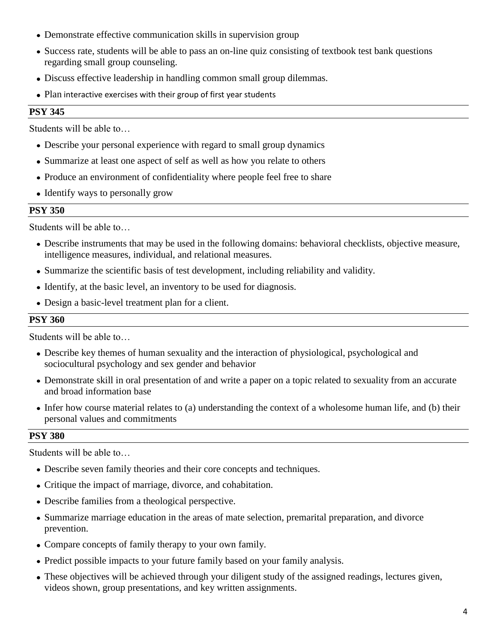- Demonstrate effective communication skills in supervision group
- Success rate, students will be able to pass an on-line quiz consisting of textbook test bank questions regarding small group counseling.
- Discuss effective leadership in handling common small group dilemmas.
- Plan interactive exercises with their group of first year students

Students will be able to…

- Describe your personal experience with regard to small group dynamics
- Summarize at least one aspect of self as well as how you relate to others
- Produce an environment of confidentiality where people feel free to share
- Identify ways to personally grow

#### **PSY 350**

Students will be able to…

- Describe instruments that may be used in the following domains: behavioral checklists, objective measure, intelligence measures, individual, and relational measures.
- Summarize the scientific basis of test development, including reliability and validity.
- Identify, at the basic level, an inventory to be used for diagnosis.
- Design a basic-level treatment plan for a client.

#### **PSY 360**

Students will be able to…

- Describe key themes of human sexuality and the interaction of physiological, psychological and sociocultural psychology and sex gender and behavior
- Demonstrate skill in oral presentation of and write a paper on a topic related to sexuality from an accurate and broad information base
- Infer how course material relates to (a) understanding the context of a wholesome human life, and (b) their personal values and commitments

#### **PSY 380**

- Describe seven family theories and their core concepts and techniques.
- Critique the impact of marriage, divorce, and cohabitation.
- Describe families from a theological perspective.
- Summarize marriage education in the areas of mate selection, premarital preparation, and divorce prevention.
- Compare concepts of family therapy to your own family.
- Predict possible impacts to your future family based on your family analysis.
- These objectives will be achieved through your diligent study of the assigned readings, lectures given, videos shown, group presentations, and key written assignments.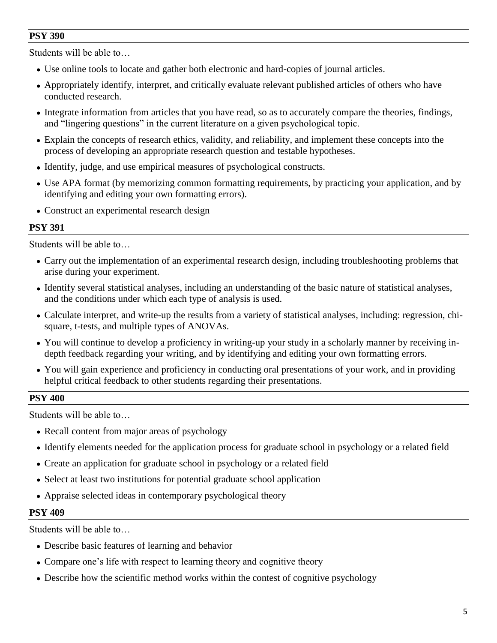Students will be able to…

- Use online tools to locate and gather both electronic and hard-copies of journal articles.
- Appropriately identify, interpret, and critically evaluate relevant published articles of others who have conducted research.
- Integrate information from articles that you have read, so as to accurately compare the theories, findings, and "lingering questions" in the current literature on a given psychological topic.
- Explain the concepts of research ethics, validity, and reliability, and implement these concepts into the process of developing an appropriate research question and testable hypotheses.
- Identify, judge, and use empirical measures of psychological constructs.
- Use APA format (by memorizing common formatting requirements, by practicing your application, and by identifying and editing your own formatting errors).
- Construct an experimental research design

## **PSY 391**

Students will be able to…

- Carry out the implementation of an experimental research design, including troubleshooting problems that arise during your experiment.
- Identify several statistical analyses, including an understanding of the basic nature of statistical analyses, and the conditions under which each type of analysis is used.
- Calculate interpret, and write-up the results from a variety of statistical analyses, including: regression, chisquare, t-tests, and multiple types of ANOVAs.
- You will continue to develop a proficiency in writing-up your study in a scholarly manner by receiving indepth feedback regarding your writing, and by identifying and editing your own formatting errors.
- You will gain experience and proficiency in conducting oral presentations of your work, and in providing helpful critical feedback to other students regarding their presentations.

#### **PSY 400**

Students will be able to…

- Recall content from major areas of psychology
- Identify elements needed for the application process for graduate school in psychology or a related field
- Create an application for graduate school in psychology or a related field
- Select at least two institutions for potential graduate school application
- Appraise selected ideas in contemporary psychological theory

#### **PSY 409**

- Describe basic features of learning and behavior
- Compare one's life with respect to learning theory and cognitive theory
- Describe how the scientific method works within the contest of cognitive psychology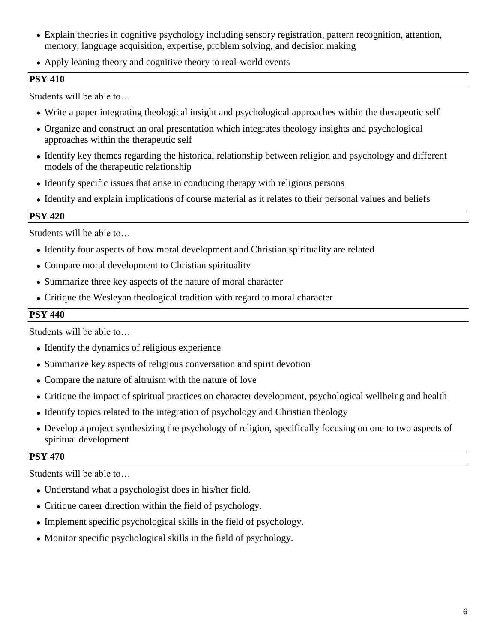- Explain theories in cognitive psychology including sensory registration, pattern recognition, attention, memory, language acquisition, expertise, problem solving, and decision making
- Apply leaning theory and cognitive theory to real-world events

Students will be able to…

- Write a paper integrating theological insight and psychological approaches within the therapeutic self
- Organize and construct an oral presentation which integrates theology insights and psychological approaches within the therapeutic self
- Identify key themes regarding the historical relationship between religion and psychology and different models of the therapeutic relationship
- Identify specific issues that arise in conducing therapy with religious persons
- Identify and explain implications of course material as it relates to their personal values and beliefs

## **PSY 420**

Students will be able to…

- Identify four aspects of how moral development and Christian spirituality are related
- Compare moral development to Christian spirituality
- Summarize three key aspects of the nature of moral character
- Critique the Wesleyan theological tradition with regard to moral character

### **PSY 440**

Students will be able to…

- Identify the dynamics of religious experience
- Summarize key aspects of religious conversation and spirit devotion
- Compare the nature of altruism with the nature of love
- Critique the impact of spiritual practices on character development, psychological wellbeing and health
- Identify topics related to the integration of psychology and Christian theology
- Develop a project synthesizing the psychology of religion, specifically focusing on one to two aspects of spiritual development

## **PSY 470**

- Understand what a psychologist does in his/her field.
- Critique career direction within the field of psychology.
- Implement specific psychological skills in the field of psychology.
- Monitor specific psychological skills in the field of psychology.